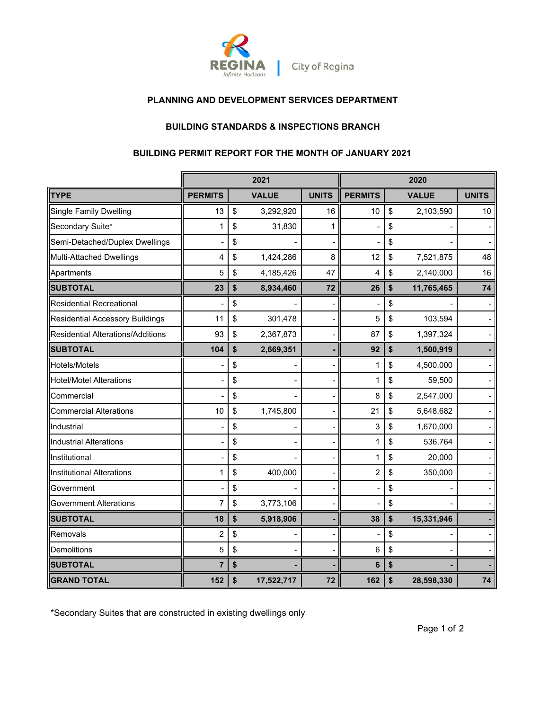

# **PLANNING AND DEVELOPMENT SERVICES DEPARTMENT**

# **BUILDING STANDARDS & INSPECTIONS BRANCH**

## **BUILDING PERMIT REPORT FOR THE MONTH OF JANUARY 2021**

|                                          | 2021           |    |              |              | 2020           |    |              |              |  |
|------------------------------------------|----------------|----|--------------|--------------|----------------|----|--------------|--------------|--|
| <b>TYPE</b>                              | <b>PERMITS</b> |    | <b>VALUE</b> | <b>UNITS</b> | <b>PERMITS</b> |    | <b>VALUE</b> | <b>UNITS</b> |  |
| <b>Single Family Dwelling</b>            | 13             | \$ | 3,292,920    | 16           | 10             | \$ | 2,103,590    | 10           |  |
| Secondary Suite*                         | 1              | \$ | 31,830       | 1            |                | \$ |              |              |  |
| Semi-Detached/Duplex Dwellings           |                | \$ |              |              |                | \$ |              |              |  |
| Multi-Attached Dwellings                 | 4              | \$ | 1,424,286    | 8            | 12             | \$ | 7,521,875    | 48           |  |
| Apartments                               | 5              | \$ | 4,185,426    | 47           | $\overline{4}$ | \$ | 2,140,000    | 16           |  |
| <b>SUBTOTAL</b>                          | 23             | \$ | 8,934,460    | 72           | 26             | \$ | 11,765,465   | 74           |  |
| <b>Residential Recreational</b>          |                | \$ |              |              |                | \$ |              |              |  |
| <b>Residential Accessory Buildings</b>   | 11             | \$ | 301,478      |              | 5              | \$ | 103,594      |              |  |
| <b>Residential Alterations/Additions</b> | 93             | \$ | 2,367,873    |              | 87             | \$ | 1,397,324    |              |  |
| <b>SUBTOTAL</b>                          | 104            | \$ | 2,669,351    |              | 92             | \$ | 1,500,919    |              |  |
| Hotels/Motels                            |                | \$ |              |              | 1              | \$ | 4,500,000    |              |  |
| <b>Hotel/Motel Alterations</b>           |                | \$ |              |              | 1              | \$ | 59,500       |              |  |
| Commercial                               |                | \$ |              |              | 8              | \$ | 2,547,000    |              |  |
| <b>Commercial Alterations</b>            | 10             | \$ | 1,745,800    |              | 21             | \$ | 5,648,682    |              |  |
| Industrial                               |                | \$ |              |              | 3              | \$ | 1,670,000    |              |  |
| <b>Industrial Alterations</b>            |                | \$ |              |              | 1              | \$ | 536,764      |              |  |
| Institutional                            |                | \$ |              |              |                | \$ | 20,000       |              |  |
| <b>Institutional Alterations</b>         | 1              | \$ | 400,000      |              | $\overline{c}$ | \$ | 350,000      |              |  |
| Government                               |                | \$ |              |              |                | \$ |              |              |  |
| <b>Government Alterations</b>            | 7              | \$ | 3,773,106    |              |                | \$ |              |              |  |
| <b>SUBTOTAL</b>                          | 18             | \$ | 5,918,906    |              | 38             | \$ | 15,331,946   |              |  |
| Removals                                 | 2              | \$ |              |              |                | \$ |              |              |  |
| <b>Demolitions</b>                       | 5              | \$ |              |              | 6              | \$ |              |              |  |
| <b>SUBTOTAL</b>                          | $\overline{7}$ | \$ |              |              | 6              | \$ |              |              |  |
| <b>GRAND TOTAL</b>                       | 152            | \$ | 17,522,717   | 72           | 162            | \$ | 28,598,330   | 74           |  |

\*Secondary Suites that are constructed in existing dwellings only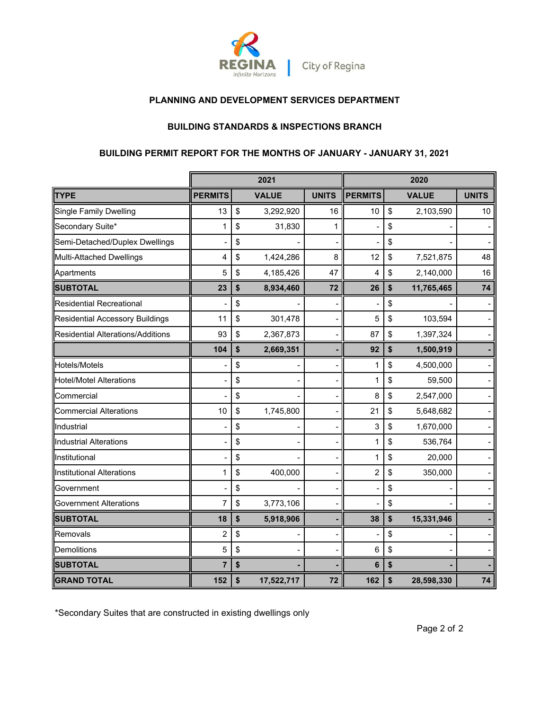

# **PLANNING AND DEVELOPMENT SERVICES DEPARTMENT**

## **BUILDING STANDARDS & INSPECTIONS BRANCH**

### **BUILDING PERMIT REPORT FOR THE MONTHS OF JANUARY - JANUARY 31, 2021**

|                                        | 2021           |    |              |                | 2020           |    |              |              |
|----------------------------------------|----------------|----|--------------|----------------|----------------|----|--------------|--------------|
| <b>TYPE</b>                            | <b>PERMITS</b> |    | <b>VALUE</b> | <b>UNITS</b>   | <b>PERMITS</b> |    | <b>VALUE</b> | <b>UNITS</b> |
| Single Family Dwelling                 | 13             | \$ | 3,292,920    | 16             | 10             | \$ | 2,103,590    | 10           |
| Secondary Suite*                       | 1              | \$ | 31,830       | 1              |                | \$ |              |              |
| Semi-Detached/Duplex Dwellings         |                | \$ |              |                |                | \$ |              |              |
| Multi-Attached Dwellings               | 4              | \$ | 1,424,286    | 8              | 12             | \$ | 7,521,875    | 48           |
| Apartments                             | 5              | \$ | 4,185,426    | 47             | 4              | \$ | 2,140,000    | 16           |
| <b>SUBTOTAL</b>                        | 23             | \$ | 8,934,460    | 72             | 26             | \$ | 11,765,465   | 74           |
| <b>Residential Recreational</b>        |                | \$ |              |                |                | \$ |              |              |
| <b>Residential Accessory Buildings</b> | 11             | \$ | 301,478      | -              | 5              | \$ | 103,594      |              |
| Residential Alterations/Additions      | 93             | \$ | 2,367,873    | $\overline{a}$ | 87             | \$ | 1,397,324    |              |
|                                        | 104            | \$ | 2,669,351    |                | 92             | \$ | 1,500,919    |              |
| <b>Hotels/Motels</b>                   |                | \$ |              |                | 1              | \$ | 4,500,000    |              |
| <b>Hotel/Motel Alterations</b>         |                | \$ |              |                | 1              | \$ | 59,500       |              |
| Commercial                             |                | \$ |              |                | 8              | \$ | 2,547,000    |              |
| <b>Commercial Alterations</b>          | 10             | \$ | 1,745,800    |                | 21             | \$ | 5,648,682    |              |
| Industrial                             |                | \$ |              |                | 3              | \$ | 1,670,000    |              |
| <b>Industrial Alterations</b>          |                | \$ |              |                | 1              | \$ | 536,764      |              |
| Institutional                          |                | \$ |              |                | 1              | \$ | 20,000       |              |
| <b>Institutional Alterations</b>       | 1              | \$ | 400,000      |                | $\overline{c}$ | \$ | 350,000      |              |
| Government                             |                | \$ |              |                |                | \$ |              |              |
| <b>Government Alterations</b>          | $\overline{7}$ | \$ | 3,773,106    |                |                | \$ |              |              |
| <b>SUBTOTAL</b>                        | 18             | \$ | 5,918,906    |                | 38             | \$ | 15,331,946   |              |
| Removals                               | 2              | \$ |              |                |                | \$ |              |              |
| Demolitions                            | 5              | \$ |              |                | 6              | \$ |              |              |
| <b>SUBTOTAL</b>                        | 7              | \$ |              |                | 6              | \$ |              |              |
| <b>GRAND TOTAL</b>                     | 152            | \$ | 17,522,717   | 72             | 162            | \$ | 28,598,330   | 74           |

\*Secondary Suites that are constructed in existing dwellings only